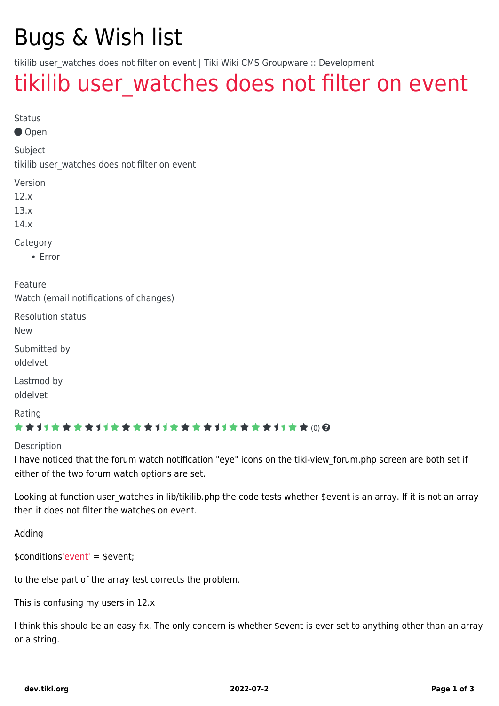## Bugs & Wish list

tikilib user watches does not filter on event | Tiki Wiki CMS Groupware :: Development

### tikilib user watches does not filter on event

Status

Open

Subject

tikilib user watches does not filter on event

Version

12.x

13.x

14.x

Category

Error

Feature Watch (email notifications of changes)

Resolution status

New

Submitted by oldelvet

Lastmod by oldelvet

Rating

#### \*\*\*\*\*\*\*\*\*\*\*\*\*\*\*\*\*\*\*\*\*\*\*\*\*\*\*\*\*\*

Description

I have noticed that the forum watch notification "eye" icons on the tiki-view\_forum.php screen are both set if either of the two forum watch options are set.

Looking at function user watches in lib/tikilib.php the code tests whether \$event is an array. If it is not an array then it does not filter the watches on event.

Adding

\$condition[s'event'](https://dev.tiki.org/) = \$event;

to the else part of the array test corrects the problem.

This is confusing my users in 12.x

I think this should be an easy fix. The only concern is whether \$event is ever set to anything other than an array or a string.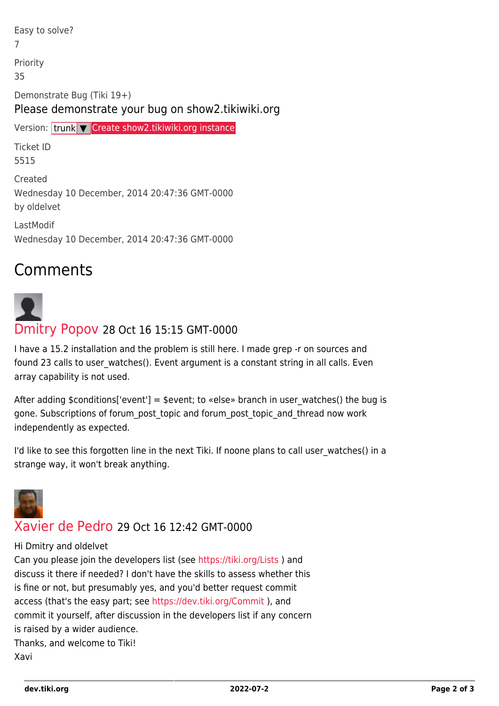Easy to solve? 7 Priority 35 Demonstrate Bug (Tiki 19+) Please demonstrate your bug on show2.tikiwiki.org Version: trunk ▼ [Create show2.tikiwiki.org instance](#page--1-0) Ticket ID 5515

Created Wednesday 10 December, 2014 20:47:36 GMT-0000 by oldelvet

LastModif Wednesday 10 December, 2014 20:47:36 GMT-0000

### Comments

# [Dmitry Popov](https://dev.tiki.org/user11836) 28 Oct 16 15:15 GMT-0000

I have a 15.2 installation and the problem is still here. I made grep -r on sources and found 23 calls to user watches(). Event argument is a constant string in all calls. Even array capability is not used.

After adding \$conditions['event'] = \$event; to «else» branch in user watches() the bug is gone. Subscriptions of forum\_post\_topic and forum\_post\_topic\_and\_thread now work independently as expected.

I'd like to see this forgotten line in the next Tiki. If noone plans to call user\_watches() in a strange way, it won't break anything.



#### [Xavier de Pedro](https://dev.tiki.org/user9794) 29 Oct 16 12:42 GMT-0000

#### Hi Dmitry and oldelvet

Can you please join the developers list (see <https://tiki.org/Lists>) and discuss it there if needed? I don't have the skills to assess whether this is fine or not, but presumably yes, and you'd better request commit access (that's the easy part; see <https://dev.tiki.org/Commit> ), and commit it yourself, after discussion in the developers list if any concern is raised by a wider audience. Thanks, and welcome to Tiki! Xavi